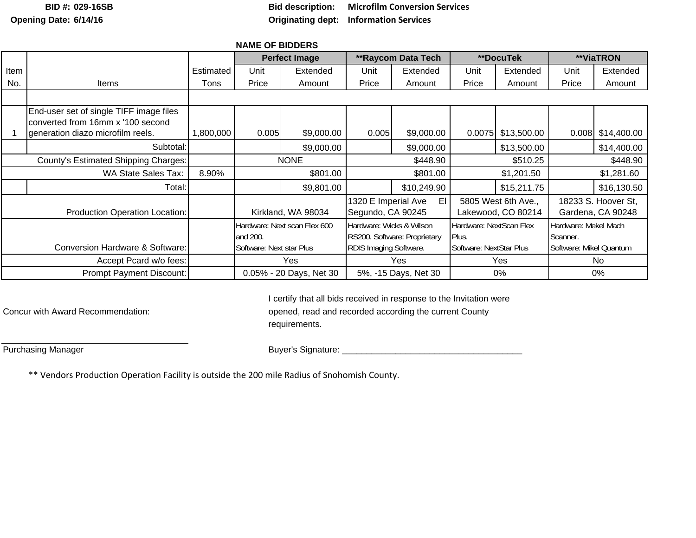**BID #:Opening Date: 6/14/16**

**029-16SB Bid description: Microfilm Conversion Services Originating dept: Information Services**

## **NAME OF BIDDERS**Item I I Estimated I Unit I Extended I Unit I Extended I Unit I Extended I Unit I Extended No. I Items I Tons I Price I Amount I Price I Amount I Price I Amount I Price I Amount 1 |generation diazo microfilm reels. | 1,800,000 | 0.005| \$9,000.00 | \$9,000.00 | 0.0075| \$13,500.00 | 0.008| \$14,400.00 Subtotal: \$9,000.00 \$9,000.00 \$13,500.00 \$14,400.00 WA State Sales Tax: | 8.90% | \$801.00 | \$801.00 | \$801.00 | \$1,201.50 | \$1,281.60 Total:: \$9,801.00 | | \$10,249.90 | | \$15,211.75 | | \$16,130.50 Conversion Hardware & Software: **\*\*DocuTek \*\*ViaTRON** \$448.90 18233 S. Hoover St, Gardena, CA 90248 Hardware: Mekel Mach Scanner. Software: Mikel Quantum No0%\$510.25 5805 West 6th Ave., Lakewood, CO 80214 Hardware: NextScan Flex Plus. Software: NextStar Plus Yes 0% **\*\*Raycom Data Tech** Accept Pcard w/o fees: Yes Yes Yes Yes Yes 5%, -15 Days, Net 30 **Perfect Image** End-user set of single TIFF image files converted from 16mm x '100 second ItemsUnit PriceProduction Operation Location: | Kirkland, WA 98034 1320 E Imperial Ave El Segundo, CA 90245 Prompt Payment Discount: 0.05% - 20 Days, Net 30 Hardware: Next scan Flex 600 and 200. Software: Next star Plus Hardware: Wicks & Wilson RS200. Software: Proprietary RDIS Imaging Software. County's Estimated Shipping Charges: None 2012 NONE 3448.90

I certify that all bids received in response to the Invitation were Concur with Award Recommendation: opened, read and recorded according the current County requirements.

Purchasing Manager Buyer's Signature: \_\_\_\_\_\_\_\_\_\_\_\_\_\_\_\_\_\_\_\_\_\_\_\_\_\_\_\_\_\_\_\_\_\_\_\_\_

\*\* Vendors Production Operation Facility is outside the 200 mile Radius of Snohomish County.